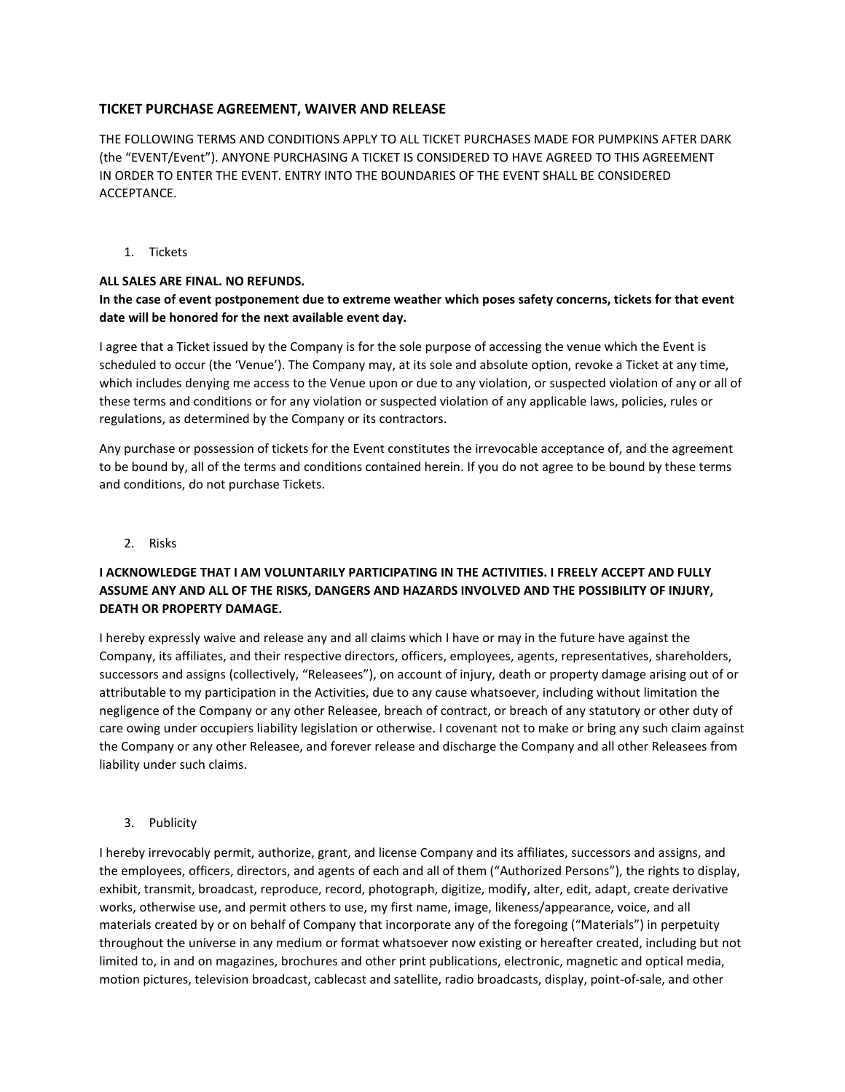## **TICKET PURCHASE AGREEMENT, WAIVER AND RELEASE**

THE FOLLOWING TERMS AND CONDITIONS APPLY TO ALL TICKET PURCHASES MADE FOR PUMPKINS AFTER DARK (the "EVENT/Event"). ANYONE PURCHASING A TICKET IS CONSIDERED TO HAVE AGREED TO THIS AGREEMENT IN ORDER TO ENTER THE EVENT. ENTRY INTO THE BOUNDARIES OF THE EVENT SHALL BE CONSIDERED ACCEPTANCE.

1. Tickets

#### **ALL SALES ARE FINAL. NO REFUNDS.**

#### **In the case of event postponement due to extreme weather which poses safety concerns, tickets for that event date will be honored for the next available event day.**

I agree that a Ticket issued by the Company is for the sole purpose of accessing the venue which the Event is scheduled to occur (the 'Venue'). The Company may, at its sole and absolute option, revoke a Ticket at any time, which includes denying me access to the Venue upon or due to any violation, or suspected violation of any or all of these terms and conditions or for any violation or suspected violation of any applicable laws, policies, rules or regulations, as determined by the Company or its contractors.

Any purchase or possession of tickets for the Event constitutes the irrevocable acceptance of, and the agreement to be bound by, all of the terms and conditions contained herein. If you do not agree to be bound by these terms and conditions, do not purchase Tickets.

2. Risks

## **I ACKNOWLEDGE THAT I AM VOLUNTARILY PARTICIPATING IN THE ACTIVITIES. I FREELY ACCEPT AND FULLY ASSUME ANY AND ALL OF THE RISKS, DANGERS AND HAZARDS INVOLVED AND THE POSSIBILITY OF INJURY, DEATH OR PROPERTY DAMAGE.**

I hereby expressly waive and release any and all claims which I have or may in the future have against the Company, its affiliates, and their respective directors, officers, employees, agents, representatives, shareholders, successors and assigns (collectively, "Releasees"), on account of injury, death or property damage arising out of or attributable to my participation in the Activities, due to any cause whatsoever, including without limitation the negligence of the Company or any other Releasee, breach of contract, or breach of any statutory or other duty of care owing under occupiers liability legislation or otherwise. I covenant not to make or bring any such claim against the Company or any other Releasee, and forever release and discharge the Company and all other Releasees from liability under such claims.

3. Publicity

I hereby irrevocably permit, authorize, grant, and license Company and its affiliates, successors and assigns, and the employees, officers, directors, and agents of each and all of them ("Authorized Persons"), the rights to display, exhibit, transmit, broadcast, reproduce, record, photograph, digitize, modify, alter, edit, adapt, create derivative works, otherwise use, and permit others to use, my first name, image, likeness/appearance, voice, and all materials created by or on behalf of Company that incorporate any of the foregoing ("Materials") in perpetuity throughout the universe in any medium or format whatsoever now existing or hereafter created, including but not limited to, in and on magazines, brochures and other print publications, electronic, magnetic and optical media, motion pictures, television broadcast, cablecast and satellite, radio broadcasts, display, point-of-sale, and other